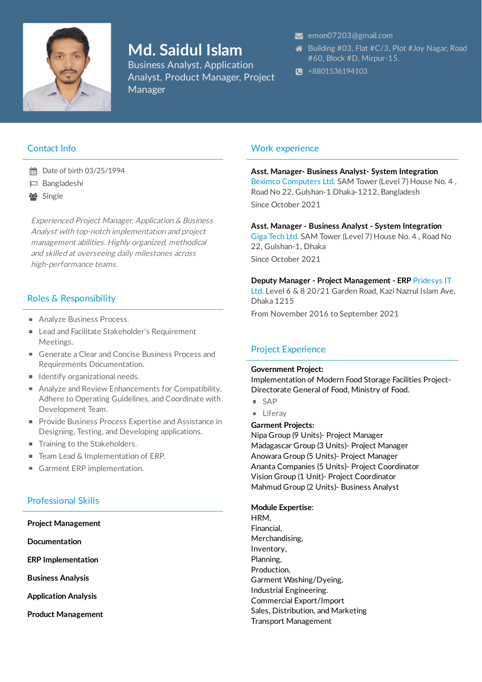

# **Md. Saidul Islam**

Business Analyst, Application Analyst, Product Manager, Project Manager

#### [emon07203@gmail.com](mailto:emon07203@gmail.com)

- **<sup>→</sup>** Building #03, Flat #C/3, Plot #Joy Nagar, Road #60, Block #D, Mirpur-15.
- $\bullet$  +8801536194103

# Contact Info

- **台** Date of birth 03/25/1994
- Bangladeshi
- Single

Experienced Project Manager, Application & Business Analyst with top-notch implementation and project management abilities. Highly organized, methodical and skilled at overseeing daily milestones across high-performance teams.

# Roles & Responsibility

- Analyze Business Process.
- Lead and Facilitate Stakeholder's Requirement Meetings.
- Generate a Clear and Concise Business Process and Requirements Documentation.
- **I** Identify organizational needs.
- Analyze and Review Enhancements for Compatibility, Adhere to Operating Guidelines, and Coordinate with Development Team.
- **Provide Business Process Expertise and Assistance in** Designing, Testing, and Developing applications.
- Training to the Stakeholders.
- Team Lead & Implementation of ERP.
- Garment ERP implementation.

# Professional Skills

**Project Management Documentation ERP Implementation Business Analysis Application Analysis Product Management**

# Work experience

#### **Asst. Manager- Business Analyst- System Integration**

Beximco Computers Ltd. SAM Tower (Level 7) House No. 4 , Road No 22, Gulshan-1 Dhaka-1212, Bangladesh Since October 2021

#### **Asst. Manager - Business Analyst - System Integration**

Giga Tech Ltd. SAM Tower (Level 7) House No. 4 , Road No 22, Gulshan-1, Dhaka Since October 2021

#### **Deputy Manager - Project Management - ERP** Pridesys IT

Ltd. Level 6 & 8 20/21 Garden Road, Kazi Nazrul Islam Ave, Dhaka 1215

From November 2016 to September 2021

# Project Experience

#### **Government Project:**

Implementation of Modern Food Storage Facilities Project-Directorate General of Food, Ministry of Food.

- $SAP$
- **Liferav**

## **Garment Projects:**

Nipa Group (9 Units)- Project Manager Madagascar Group (3 Units)- Project Manager Anowara Group (5 Units)- Project Manager Ananta Companies (5 Units)- Project Coordinator Vision Group (1 Unit)- Project Coordinator Mahmud Group (2 Units)- Business Analyst

#### **Module Expertise**:

HRM, Financial, Merchandising, Inventory, Planning, Production, Garment Washing/Dyeing, Industrial Engineering. Commercial Export/Import Sales, Distribution, and Marketing Transport Management